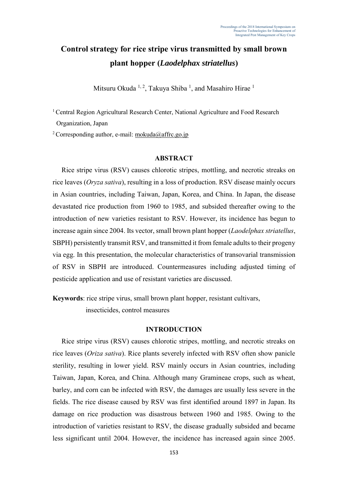# **Control strategy for rice stripe virus transmitted by small brown plant hopper (***Laodelphax striatellus***)**

Mitsuru Okuda  $^{1, 2}$ , Takuya Shiba  $^{1}$ , and Masahiro Hirae  $^{1}$ 

<sup>1</sup> Central Region Agricultural Research Center, National Agriculture and Food Research Organization, Japan

<sup>2</sup> Corresponding author, e-mail: mokuda@affrc.go.jp

## **ABSTRACT**

Rice stripe virus (RSV) causes chlorotic stripes, mottling, and necrotic streaks on rice leaves (*Oryza sativa*), resulting in a loss of production. RSV disease mainly occurs in Asian countries, including Taiwan, Japan, Korea, and China. In Japan, the disease devastated rice production from 1960 to 1985, and subsided thereafter owing to the introduction of new varieties resistant to RSV. However, its incidence has begun to increase again since 2004. Its vector, small brown plant hopper (*Laodelphax striatellus*, SBPH) persistently transmit RSV, and transmitted it from female adults to their progeny via egg. In this presentation, the molecular characteristics of transovarial transmission of RSV in SBPH are introduced. Countermeasures including adjusted timing of pesticide application and use of resistant varieties are discussed.

**Keywords**: rice stripe virus, small brown plant hopper, resistant cultivars,

insecticides, control measures

# **INTRODUCTION**

Rice stripe virus (RSV) causes chlorotic stripes, mottling, and necrotic streaks on rice leaves (*Oriza sativa*). Rice plants severely infected with RSV often show panicle sterility, resulting in lower yield. RSV mainly occurs in Asian countries, including Taiwan, Japan, Korea, and China. Although many Gramineae crops, such as wheat, barley, and corn can be infected with RSV, the damages are usually less severe in the fields. The rice disease caused by RSV was first identified around 1897 in Japan. Its damage on rice production was disastrous between 1960 and 1985. Owing to the introduction of varieties resistant to RSV, the disease gradually subsided and became less significant until 2004. However, the incidence has increased again since 2005.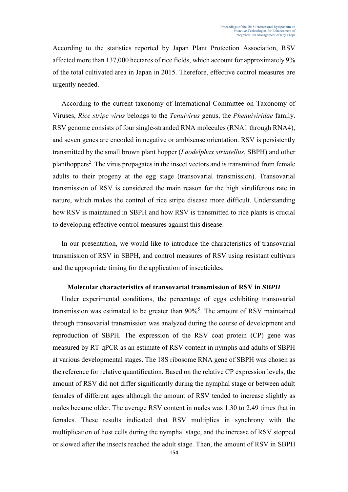According to the statistics reported by Japan Plant Protection Association, RSV affected more than 137,000 hectares of rice fields, which account for approximately 9% of the total cultivated area in Japan in 2015. Therefore, effective control measures are urgently needed.

According to the current taxonomy of International Committee on Taxonomy of Viruses, *Rice stripe virus* belongs to the *Tenuivirus* genus, the *Phenuiviridae* family. RSV genome consists of four single-stranded RNA molecules (RNA1 through RNA4), and seven genes are encoded in negative or ambisense orientation. RSV is persistently transmitted by the small brown plant hopper (*Laodelphax striatellus*, SBPH) and other planthoppers<sup>2</sup>. The virus propagates in the insect vectors and is transmitted from female adults to their progeny at the egg stage (transovarial transmission). Transovarial transmission of RSV is considered the main reason for the high viruliferous rate in nature, which makes the control of rice stripe disease more difficult. Understanding how RSV is maintained in SBPH and how RSV is transmitted to rice plants is crucial to developing effective control measures against this disease.

In our presentation, we would like to introduce the characteristics of transovarial transmission of RSV in SBPH, and control measures of RSV using resistant cultivars and the appropriate timing for the application of insecticides.

#### **Molecular characteristics of transovarial transmission of RSV in** *SBPH*

Under experimental conditions, the percentage of eggs exhibiting transovarial transmission was estimated to be greater than 90%<sup>5</sup>. The amount of RSV maintained through transovarial transmission was analyzed during the course of development and reproduction of SBPH. The expression of the RSV coat protein (CP) gene was measured by RT-qPCR as an estimate of RSV content in nymphs and adults of SBPH at various developmental stages. The 18S ribosome RNA gene of SBPH was chosen as the reference for relative quantification. Based on the relative CP expression levels, the amount of RSV did not differ significantly during the nymphal stage or between adult females of different ages although the amount of RSV tended to increase slightly as males became older. The average RSV content in males was 1.30 to 2.49 times that in females. These results indicated that RSV multiplies in synchrony with the multiplication of host cells during the nymphal stage, and the increase of RSV stopped or slowed after the insects reached the adult stage. Then, the amount of RSV in SBPH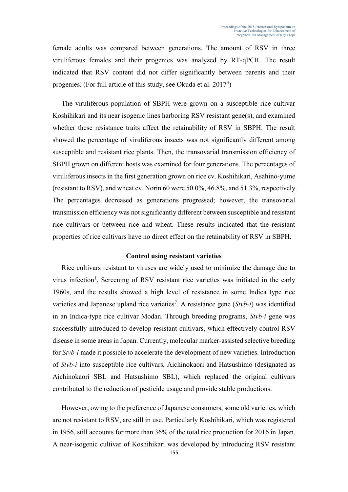female adults was compared between generations. The amount of RSV in three viruliferous females and their progenies was analyzed by RT-qPCR. The result indicated that RSV content did not differ significantly between parents and their progenies. (For full article of this study, see Okuda et al.  $2017<sup>3</sup>$ )

The viruliferous population of SBPH were grown on a susceptible rice cultivar Koshihikari and its near isogenic lines harboring RSV resistant gene(s), and examined whether these resistance traits affect the retainability of RSV in SBPH. The result showed the percentage of viruliferous insects was not significantly different among susceptible and resistant rice plants. Then, the transovarial transmission efficiency of SBPH grown on different hosts was examined for four generations. The percentages of viruliferous insects in the first generation grown on rice cv. Koshihikari, Asahino-yume (resistant to RSV), and wheat cv. Norin 60 were 50.0%, 46.8%, and 51.3%, respectively. The percentages decreased as generations progressed; however, the transovarial transmission efficiency was not significantly different between susceptible and resistant rice cultivars or between rice and wheat. These results indicated that the resistant properties of rice cultivars have no direct effect on the retainability of RSV in SBPH.

### **Control using resistant varieties**

Rice cultivars resistant to viruses are widely used to minimize the damage due to virus infection<sup>1</sup>. Screening of RSV resistant rice varieties was initiated in the early 1960s, and the results showed a high level of resistance in some Indica type rice varieties and Japanese upland rice varieties<sup>7</sup>. A resistance gene (*Stvb-i*) was identified in an Indica-type rice cultivar Modan. Through breeding programs, *Stvb-i* gene was successfully introduced to develop resistant cultivars, which effectively control RSV disease in some areas in Japan. Currently, molecular marker-assisted selective breeding for *Stvb-i* made it possible to accelerate the development of new varieties. Introduction of *Stvb-i* into susceptible rice cultivars, Aichinokaori and Hatsushimo (designated as Aichinokaori SBL and Hatsushimo SBL), which replaced the original cultivars contributed to the reduction of pesticide usage and provide stable productions.

However, owing to the preference of Japanese consumers, some old varieties, which are not resistant to RSV, are still in use. Particularly Koshihikari, which was registered in 1956, still accounts for more than 36% of the total rice production for 2016 in Japan. A near-isogenic cultivar of Koshihikari was developed by introducing RSV resistant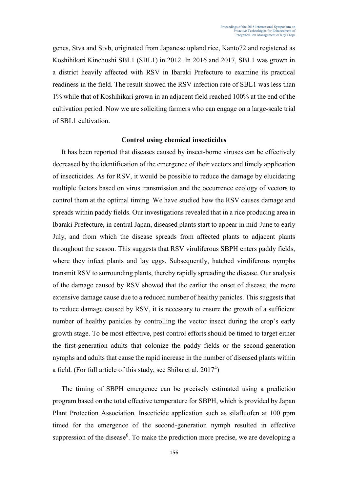genes, Stva and Stvb, originated from Japanese upland rice, Kanto72 and registered as Koshihikari Kinchushi SBL1 (SBL1) in 2012. In 2016 and 2017, SBL1 was grown in a district heavily affected with RSV in Ibaraki Prefecture to examine its practical readiness in the field. The result showed the RSV infection rate of SBL1 was less than 1% while that of Koshihikari grown in an adjacent field reached 100% at the end of the cultivation period. Now we are soliciting farmers who can engage on a large-scale trial of SBL1 cultivation.

## **Control using chemical insecticides**

It has been reported that diseases caused by insect-borne viruses can be effectively decreased by the identification of the emergence of their vectors and timely application of insecticides. As for RSV, it would be possible to reduce the damage by elucidating multiple factors based on virus transmission and the occurrence ecology of vectors to control them at the optimal timing. We have studied how the RSV causes damage and spreads within paddy fields. Our investigations revealed that in a rice producing area in Ibaraki Prefecture, in central Japan, diseased plants start to appear in mid-June to early July, and from which the disease spreads from affected plants to adjacent plants throughout the season. This suggests that RSV viruliferous SBPH enters paddy fields, where they infect plants and lay eggs. Subsequently, hatched viruliferous nymphs transmit RSV to surrounding plants, thereby rapidly spreading the disease. Our analysis of the damage caused by RSV showed that the earlier the onset of disease, the more extensive damage cause due to a reduced number of healthy panicles. This suggests that to reduce damage caused by RSV, it is necessary to ensure the growth of a sufficient number of healthy panicles by controlling the vector insect during the crop's early growth stage. To be most effective, pest control efforts should be timed to target either the first-generation adults that colonize the paddy fields or the second-generation nymphs and adults that cause the rapid increase in the number of diseased plants within a field. (For full article of this study, see Shiba et al.  $2017<sup>4</sup>$ )

The timing of SBPH emergence can be precisely estimated using a prediction program based on the total effective temperature for SBPH, which is provided by Japan Plant Protection Association*.* Insecticide application such as silafluofen at 100 ppm timed for the emergence of the second-generation nymph resulted in effective suppression of the disease<sup>6</sup>. To make the prediction more precise, we are developing a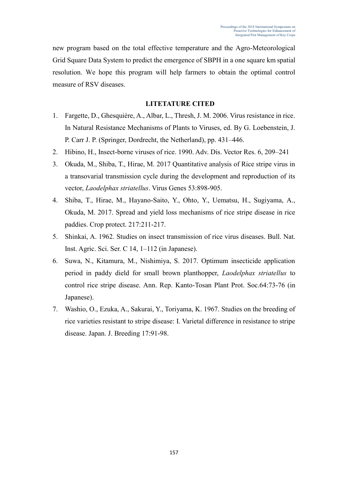new program based on the total effective temperature and the Agro-Meteorological Grid Square Data System to predict the emergence of SBPH in a one square km spatial resolution. We hope this program will help farmers to obtain the optimal control measure of RSV diseases.

# **LITETATURE CITED**

- 1. Fargette, D., Ghesquière, A., Albar, L., Thresh, J. M. 2006. Virus resistance in rice. In Natural Resistance Mechanisms of Plants to Viruses, ed. By G. Loebenstein, J. P. Carr J. P. (Springer, Dordrecht, the Netherland), pp. 431–446.
- 2. Hibino, H., Insect-borne viruses of rice. 1990. Adv. Dis. Vector Res. 6, 209–241
- 3. Okuda, M., Shiba, T., Hirae, M. 2017 Quantitative analysis of Rice stripe virus in a transovarial transmission cycle during the development and reproduction of its vector, *Laodelphax striatellus*. Virus Genes 53:898-905.
- 4. Shiba, T., Hirae, M., Hayano-Saito, Y., Ohto, Y., Uematsu, H., Sugiyama, A., Okuda, M. 2017. Spread and yield loss mechanisms of rice stripe disease in rice paddies. Crop protect. 217:211-217.
- 5. Shinkai, A. 1962. Studies on insect transmission of rice virus diseases. Bull. Nat. Inst. Agric. Sci. Ser. C 14, 1–112 (in Japanese).
- 6. Suwa, N., Kitamura, M., Nishimiya, S. 2017. Optimum insecticide application period in paddy dield for small brown planthopper, *Laodelphax striatellus* to control rice stripe disease. Ann. Rep. Kanto-Tosan Plant Prot. Soc.64:73-76 (in Japanese).
- 7. Washio, O., Ezuka, A., Sakurai, Y., Toriyama, K. 1967. Studies on the breeding of rice varieties resistant to stripe disease: I. Varietal difference in resistance to stripe disease. Japan. J. Breeding 17:91-98.